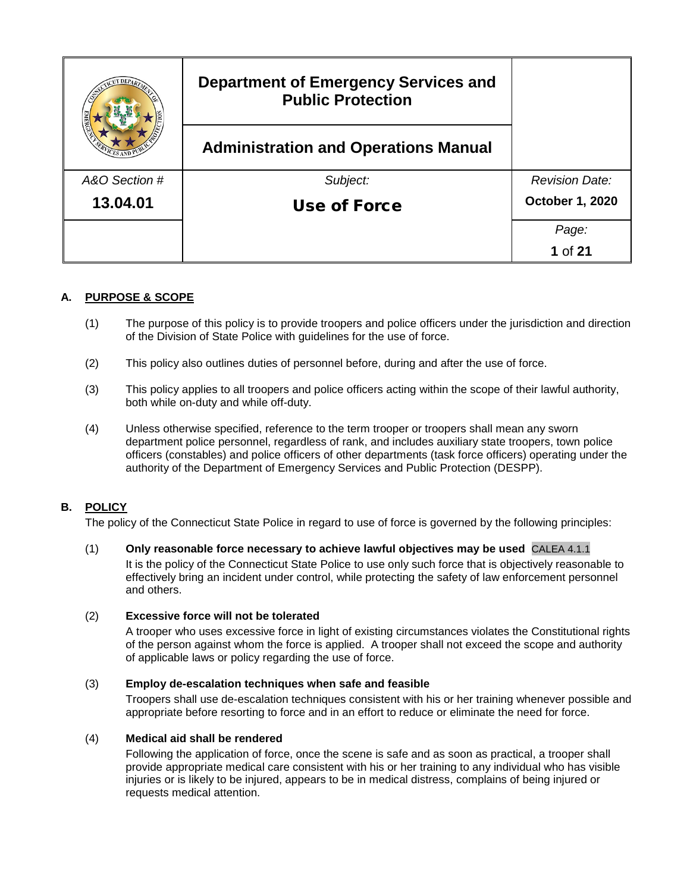|               | <b>Department of Emergency Services and</b><br><b>Public Protection</b> |                       |
|---------------|-------------------------------------------------------------------------|-----------------------|
|               | <b>Administration and Operations Manual</b>                             |                       |
| A&O Section # | Subject:                                                                | <b>Revision Date:</b> |
| 13.04.01      | Use of Force                                                            | October 1, 2020       |
|               |                                                                         | Page:                 |
|               |                                                                         | 1 of 21               |

# **A. PURPOSE & SCOPE**

- (1) The purpose of this policy is to provide troopers and police officers under the jurisdiction and direction of the Division of State Police with guidelines for the use of force.
- (2) This policy also outlines duties of personnel before, during and after the use of force.
- (3) This policy applies to all troopers and police officers acting within the scope of their lawful authority, both while on-duty and while off-duty.
- (4) Unless otherwise specified, reference to the term trooper or troopers shall mean any sworn department police personnel, regardless of rank, and includes auxiliary state troopers, town police officers (constables) and police officers of other departments (task force officers) operating under the authority of the Department of Emergency Services and Public Protection (DESPP).

## **B. POLICY**

The policy of the Connecticut State Police in regard to use of force is governed by the following principles:

(1) **Only reasonable force necessary to achieve lawful objectives may be used** CALEA 4.1.1 It is the policy of the Connecticut State Police to use only such force that is objectively reasonable to effectively bring an incident under control, while protecting the safety of law enforcement personnel and others.

### (2) **Excessive force will not be tolerated**

A trooper who uses excessive force in light of existing circumstances violates the Constitutional rights of the person against whom the force is applied. A trooper shall not exceed the scope and authority of applicable laws or policy regarding the use of force.

### (3) **Employ de-escalation techniques when safe and feasible**

Troopers shall use de-escalation techniques consistent with his or her training whenever possible and appropriate before resorting to force and in an effort to reduce or eliminate the need for force.

### (4) **Medical aid shall be rendered**

Following the application of force, once the scene is safe and as soon as practical, a trooper shall provide appropriate medical care consistent with his or her training to any individual who has visible injuries or is likely to be injured, appears to be in medical distress, complains of being injured or requests medical attention.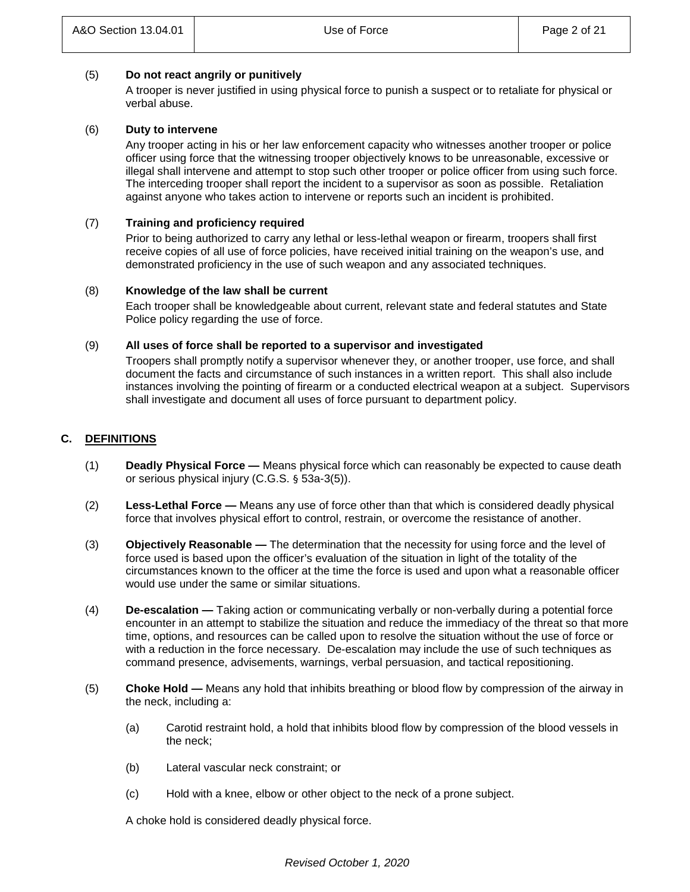## (5) **Do not react angrily or punitively**

A trooper is never justified in using physical force to punish a suspect or to retaliate for physical or verbal abuse.

### (6) **Duty to intervene**

Any trooper acting in his or her law enforcement capacity who witnesses another trooper or police officer using force that the witnessing trooper objectively knows to be unreasonable, excessive or illegal shall intervene and attempt to stop such other trooper or police officer from using such force. The interceding trooper shall report the incident to a supervisor as soon as possible. Retaliation against anyone who takes action to intervene or reports such an incident is prohibited.

## (7) **Training and proficiency required**

Prior to being authorized to carry any lethal or less-lethal weapon or firearm, troopers shall first receive copies of all use of force policies, have received initial training on the weapon's use, and demonstrated proficiency in the use of such weapon and any associated techniques.

## (8) **Knowledge of the law shall be current**

Each trooper shall be knowledgeable about current, relevant state and federal statutes and State Police policy regarding the use of force.

## (9) **All uses of force shall be reported to a supervisor and investigated**

Troopers shall promptly notify a supervisor whenever they, or another trooper, use force, and shall document the facts and circumstance of such instances in a written report. This shall also include instances involving the pointing of firearm or a conducted electrical weapon at a subject. Supervisors shall investigate and document all uses of force pursuant to department policy.

## **C. DEFINITIONS**

- (1) **Deadly Physical Force —** Means physical force which can reasonably be expected to cause death or serious physical injury (C.G.S. § 53a-3(5)).
- (2) **Less-Lethal Force —** Means any use of force other than that which is considered deadly physical force that involves physical effort to control, restrain, or overcome the resistance of another.
- (3) **Objectively Reasonable —** The determination that the necessity for using force and the level of force used is based upon the officer's evaluation of the situation in light of the totality of the circumstances known to the officer at the time the force is used and upon what a reasonable officer would use under the same or similar situations.
- (4) **De-escalation —** Taking action or communicating verbally or non-verbally during a potential force encounter in an attempt to stabilize the situation and reduce the immediacy of the threat so that more time, options, and resources can be called upon to resolve the situation without the use of force or with a reduction in the force necessary. De-escalation may include the use of such techniques as command presence, advisements, warnings, verbal persuasion, and tactical repositioning.
- (5) **Choke Hold —** Means any hold that inhibits breathing or blood flow by compression of the airway in the neck, including a:
	- (a) Carotid restraint hold, a hold that inhibits blood flow by compression of the blood vessels in the neck;
	- (b) Lateral vascular neck constraint; or
	- (c) Hold with a knee, elbow or other object to the neck of a prone subject.

A choke hold is considered deadly physical force.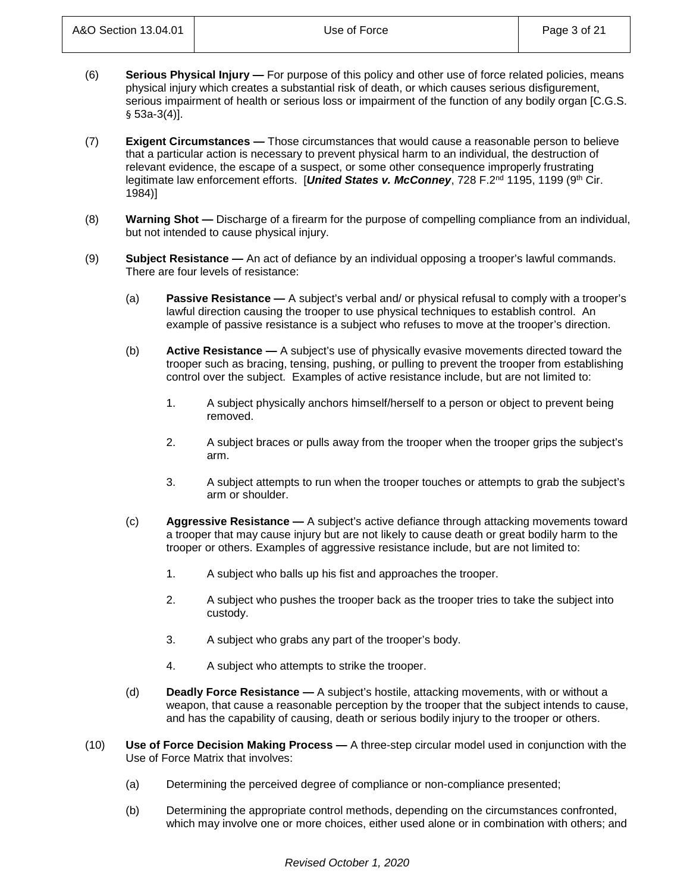- (6) **Serious Physical Injury —** For purpose of this policy and other use of force related policies, means physical injury which creates a substantial risk of death, or which causes serious disfigurement, serious impairment of health or serious loss or impairment of the function of any bodily organ [C.G.S. § 53a-3(4)].
- (7) **Exigent Circumstances —** Those circumstances that would cause a reasonable person to believe that a particular action is necessary to prevent physical harm to an individual, the destruction of relevant evidence, the escape of a suspect, or some other consequence improperly frustrating legitimate law enforcement efforts. [*United States v. McConney*, 728 F.2<sup>nd</sup> 1195, 1199 (9<sup>th</sup> Cir. 1984)]
- (8) **Warning Shot —** Discharge of a firearm for the purpose of compelling compliance from an individual, but not intended to cause physical injury.
- (9) **Subject Resistance —** An act of defiance by an individual opposing a trooper's lawful commands. There are four levels of resistance:
	- (a) **Passive Resistance —** A subject's verbal and/ or physical refusal to comply with a trooper's lawful direction causing the trooper to use physical techniques to establish control. An example of passive resistance is a subject who refuses to move at the trooper's direction.
	- (b) **Active Resistance —** A subject's use of physically evasive movements directed toward the trooper such as bracing, tensing, pushing, or pulling to prevent the trooper from establishing control over the subject. Examples of active resistance include, but are not limited to:
		- 1. A subject physically anchors himself/herself to a person or object to prevent being removed.
		- 2. A subject braces or pulls away from the trooper when the trooper grips the subject's arm.
		- 3. A subject attempts to run when the trooper touches or attempts to grab the subject's arm or shoulder.
	- (c) **Aggressive Resistance —** A subject's active defiance through attacking movements toward a trooper that may cause injury but are not likely to cause death or great bodily harm to the trooper or others. Examples of aggressive resistance include, but are not limited to:
		- 1. A subject who balls up his fist and approaches the trooper.
		- 2. A subject who pushes the trooper back as the trooper tries to take the subject into custody.
		- 3. A subject who grabs any part of the trooper's body.
		- 4. A subject who attempts to strike the trooper.
	- (d) **Deadly Force Resistance —** A subject's hostile, attacking movements, with or without a weapon, that cause a reasonable perception by the trooper that the subject intends to cause, and has the capability of causing, death or serious bodily injury to the trooper or others.
- (10) **Use of Force Decision Making Process —** A three-step circular model used in conjunction with the Use of Force Matrix that involves:
	- (a) Determining the perceived degree of compliance or non-compliance presented;
	- (b) Determining the appropriate control methods, depending on the circumstances confronted, which may involve one or more choices, either used alone or in combination with others; and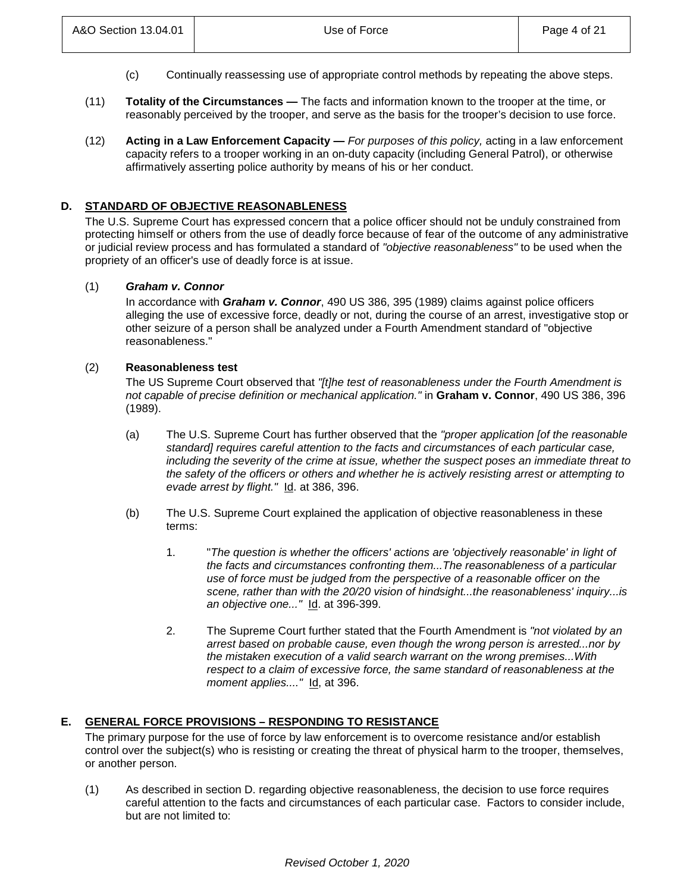- (c) Continually reassessing use of appropriate control methods by repeating the above steps.
- (11) **Totality of the Circumstances —** The facts and information known to the trooper at the time, or reasonably perceived by the trooper, and serve as the basis for the trooper's decision to use force.
- (12) **Acting in a Law Enforcement Capacity —** *For purposes of this policy,* acting in a law enforcement capacity refers to a trooper working in an on-duty capacity (including General Patrol), or otherwise affirmatively asserting police authority by means of his or her conduct.

### **D. STANDARD OF OBJECTIVE REASONABLENESS**

The U.S. Supreme Court has expressed concern that a police officer should not be unduly constrained from protecting himself or others from the use of deadly force because of fear of the outcome of any administrative or judicial review process and has formulated a standard of *"objective reasonableness"* to be used when the propriety of an officer's use of deadly force is at issue.

### (1) *Graham v. Connor*

In accordance with *Graham v. Connor*, 490 US 386, 395 (1989) claims against police officers alleging the use of excessive force, deadly or not, during the course of an arrest, investigative stop or other seizure of a person shall be analyzed under a Fourth Amendment standard of "objective reasonableness."

### (2) **Reasonableness test**

The US Supreme Court observed that *"[t]he test of reasonableness under the Fourth Amendment is not capable of precise definition or mechanical application."* in **Graham v. Connor**, 490 US 386, 396 (1989).

- (a) The U.S. Supreme Court has further observed that the *"proper application [of the reasonable standard] requires careful attention to the facts and circumstances of each particular case, including the severity of the crime at issue, whether the suspect poses an immediate threat to the safety of the officers or others and whether he is actively resisting arrest or attempting to evade arrest by flight."* Id. at 386, 396.
- (b) The U.S. Supreme Court explained the application of objective reasonableness in these terms:
	- 1. "*The question is whether the officers' actions are 'objectively reasonable' in light of the facts and circumstances confronting them...The reasonableness of a particular use of force must be judged from the perspective of a reasonable officer on the scene, rather than with the 20/20 vision of hindsight...the reasonableness' inquiry...is an objective one..."* Id. at 396-399.
	- 2. The Supreme Court further stated that the Fourth Amendment is *"not violated by an arrest based on probable cause, even though the wrong person is arrested...nor by the mistaken execution of a valid search warrant on the wrong premises...With respect to a claim of excessive force, the same standard of reasonableness at the moment applies...."* Id, at 396.

## **E. GENERAL FORCE PROVISIONS – RESPONDING TO RESISTANCE**

The primary purpose for the use of force by law enforcement is to overcome resistance and/or establish control over the subject(s) who is resisting or creating the threat of physical harm to the trooper, themselves, or another person.

(1) As described in section D. regarding objective reasonableness, the decision to use force requires careful attention to the facts and circumstances of each particular case. Factors to consider include, but are not limited to: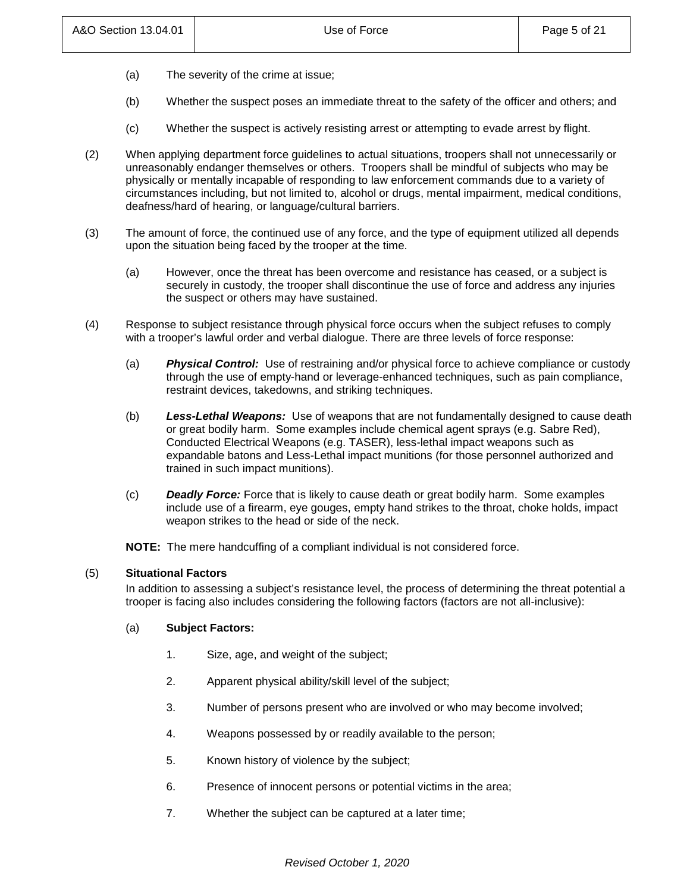- (a) The severity of the crime at issue;
- (b) Whether the suspect poses an immediate threat to the safety of the officer and others; and
- (c) Whether the suspect is actively resisting arrest or attempting to evade arrest by flight.
- (2) When applying department force guidelines to actual situations, troopers shall not unnecessarily or unreasonably endanger themselves or others. Troopers shall be mindful of subjects who may be physically or mentally incapable of responding to law enforcement commands due to a variety of circumstances including, but not limited to, alcohol or drugs, mental impairment, medical conditions, deafness/hard of hearing, or language/cultural barriers.
- (3) The amount of force, the continued use of any force, and the type of equipment utilized all depends upon the situation being faced by the trooper at the time.
	- (a) However, once the threat has been overcome and resistance has ceased, or a subject is securely in custody, the trooper shall discontinue the use of force and address any injuries the suspect or others may have sustained.
- (4) Response to subject resistance through physical force occurs when the subject refuses to comply with a trooper's lawful order and verbal dialogue. There are three levels of force response:
	- (a) *Physical Control:* Use of restraining and/or physical force to achieve compliance or custody through the use of empty-hand or leverage-enhanced techniques, such as pain compliance, restraint devices, takedowns, and striking techniques.
	- (b) *Less-Lethal Weapons:* Use of weapons that are not fundamentally designed to cause death or great bodily harm. Some examples include chemical agent sprays (e.g. Sabre Red), Conducted Electrical Weapons (e.g. TASER), less-lethal impact weapons such as expandable batons and Less-Lethal impact munitions (for those personnel authorized and trained in such impact munitions).
	- (c) *Deadly Force:* Force that is likely to cause death or great bodily harm. Some examples include use of a firearm, eye gouges, empty hand strikes to the throat, choke holds, impact weapon strikes to the head or side of the neck.

**NOTE:** The mere handcuffing of a compliant individual is not considered force.

### (5) **Situational Factors**

In addition to assessing a subject's resistance level, the process of determining the threat potential a trooper is facing also includes considering the following factors (factors are not all-inclusive):

### (a) **Subject Factors:**

- 1. Size, age, and weight of the subject;
- 2. Apparent physical ability/skill level of the subject;
- 3. Number of persons present who are involved or who may become involved;
- 4. Weapons possessed by or readily available to the person;
- 5. Known history of violence by the subject;
- 6. Presence of innocent persons or potential victims in the area;
- 7. Whether the subject can be captured at a later time;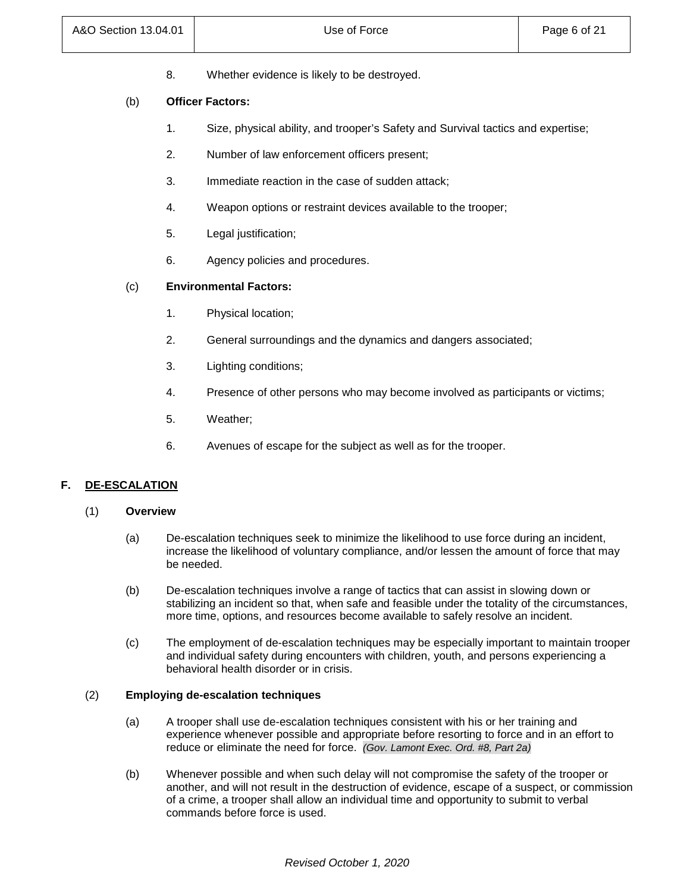8. Whether evidence is likely to be destroyed.

## (b) **Officer Factors:**

- 1. Size, physical ability, and trooper's Safety and Survival tactics and expertise;
- 2. Number of law enforcement officers present;
- 3. Immediate reaction in the case of sudden attack;
- 4. Weapon options or restraint devices available to the trooper;
- 5. Legal justification;
- 6. Agency policies and procedures.

## (c) **Environmental Factors:**

- 1. Physical location;
- 2. General surroundings and the dynamics and dangers associated;
- 3. Lighting conditions;
- 4. Presence of other persons who may become involved as participants or victims;
- 5. Weather;
- 6. Avenues of escape for the subject as well as for the trooper.

### **F. DE-ESCALATION**

### (1) **Overview**

- (a) De-escalation techniques seek to minimize the likelihood to use force during an incident, increase the likelihood of voluntary compliance, and/or lessen the amount of force that may be needed.
- (b) De-escalation techniques involve a range of tactics that can assist in slowing down or stabilizing an incident so that, when safe and feasible under the totality of the circumstances, more time, options, and resources become available to safely resolve an incident.
- (c) The employment of de-escalation techniques may be especially important to maintain trooper and individual safety during encounters with children, youth, and persons experiencing a behavioral health disorder or in crisis.

### (2) **Employing de-escalation techniques**

- (a) A trooper shall use de-escalation techniques consistent with his or her training and experience whenever possible and appropriate before resorting to force and in an effort to reduce or eliminate the need for force. *(Gov. Lamont Exec. Ord. #8, Part 2a)*
- (b) Whenever possible and when such delay will not compromise the safety of the trooper or another, and will not result in the destruction of evidence, escape of a suspect, or commission of a crime, a trooper shall allow an individual time and opportunity to submit to verbal commands before force is used.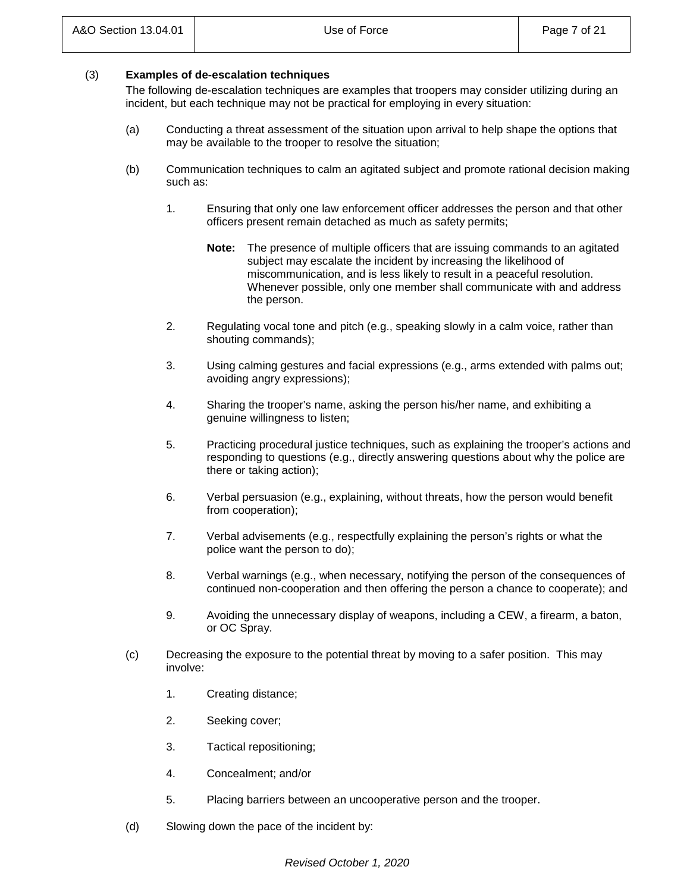### (3) **Examples of de-escalation techniques**

The following de-escalation techniques are examples that troopers may consider utilizing during an incident, but each technique may not be practical for employing in every situation:

- (a) Conducting a threat assessment of the situation upon arrival to help shape the options that may be available to the trooper to resolve the situation;
- (b) Communication techniques to calm an agitated subject and promote rational decision making such as:
	- 1. Ensuring that only one law enforcement officer addresses the person and that other officers present remain detached as much as safety permits;
		- **Note:** The presence of multiple officers that are issuing commands to an agitated subject may escalate the incident by increasing the likelihood of miscommunication, and is less likely to result in a peaceful resolution. Whenever possible, only one member shall communicate with and address the person.
	- 2. Regulating vocal tone and pitch (e.g., speaking slowly in a calm voice, rather than shouting commands);
	- 3. Using calming gestures and facial expressions (e.g., arms extended with palms out; avoiding angry expressions);
	- 4. Sharing the trooper's name, asking the person his/her name, and exhibiting a genuine willingness to listen;
	- 5. Practicing procedural justice techniques, such as explaining the trooper's actions and responding to questions (e.g., directly answering questions about why the police are there or taking action);
	- 6. Verbal persuasion (e.g., explaining, without threats, how the person would benefit from cooperation);
	- 7. Verbal advisements (e.g., respectfully explaining the person's rights or what the police want the person to do);
	- 8. Verbal warnings (e.g., when necessary, notifying the person of the consequences of continued non-cooperation and then offering the person a chance to cooperate); and
	- 9. Avoiding the unnecessary display of weapons, including a CEW, a firearm, a baton, or OC Spray.
- (c) Decreasing the exposure to the potential threat by moving to a safer position. This may involve:
	- 1. Creating distance;
	- 2. Seeking cover;
	- 3. Tactical repositioning;
	- 4. Concealment; and/or
	- 5. Placing barriers between an uncooperative person and the trooper.
- (d) Slowing down the pace of the incident by: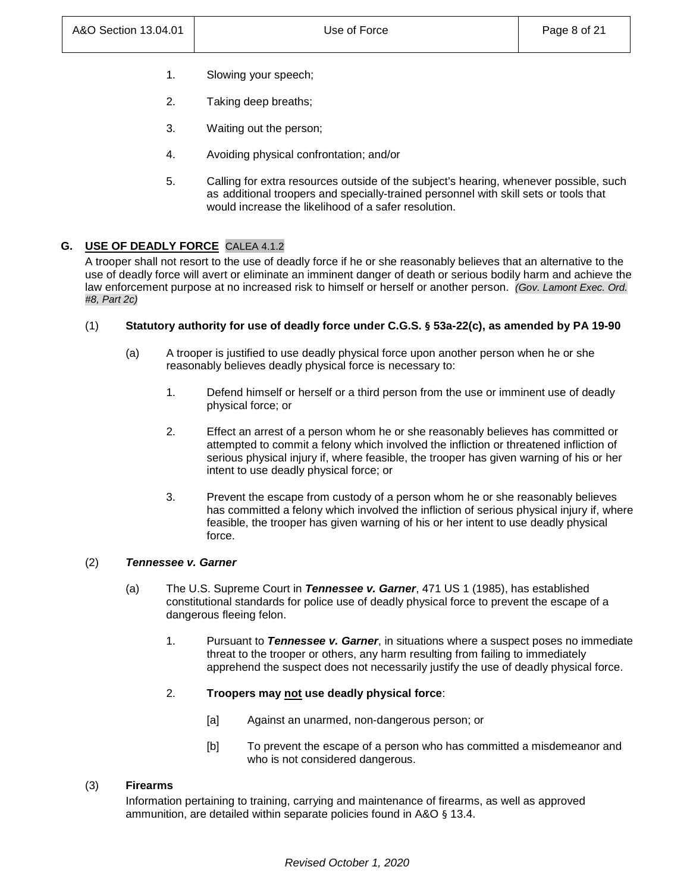- 1. Slowing your speech;
- 2. Taking deep breaths;
- 3. Waiting out the person;
- 4. Avoiding physical confrontation; and/or
- 5. Calling for extra resources outside of the subject's hearing, whenever possible, such as additional troopers and specially-trained personnel with skill sets or tools that would increase the likelihood of a safer resolution.

## **G. USE OF DEADLY FORCE** CALEA 4.1.2

A trooper shall not resort to the use of deadly force if he or she reasonably believes that an alternative to the use of deadly force will avert or eliminate an imminent danger of death or serious bodily harm and achieve the law enforcement purpose at no increased risk to himself or herself or another person. *(Gov. Lamont Exec. Ord. #8, Part 2c)*

## (1) **Statutory authority for use of deadly force under C.G.S. § 53a-22(c), as amended by PA 19-90**

- (a) A trooper is justified to use deadly physical force upon another person when he or she reasonably believes deadly physical force is necessary to:
	- 1. Defend himself or herself or a third person from the use or imminent use of deadly physical force; or
	- 2. Effect an arrest of a person whom he or she reasonably believes has committed or attempted to commit a felony which involved the infliction or threatened infliction of serious physical injury if, where feasible, the trooper has given warning of his or her intent to use deadly physical force; or
	- 3. Prevent the escape from custody of a person whom he or she reasonably believes has committed a felony which involved the infliction of serious physical injury if, where feasible, the trooper has given warning of his or her intent to use deadly physical force.

### (2) *Tennessee v. Garner*

- (a) The U.S. Supreme Court in *Tennessee v. Garner*, 471 US 1 (1985), has established constitutional standards for police use of deadly physical force to prevent the escape of a dangerous fleeing felon.
	- 1. Pursuant to *Tennessee v. Garner*, in situations where a suspect poses no immediate threat to the trooper or others, any harm resulting from failing to immediately apprehend the suspect does not necessarily justify the use of deadly physical force.
	- 2. **Troopers may not use deadly physical force**:
		- [a] Against an unarmed, non-dangerous person; or
		- [b] To prevent the escape of a person who has committed a misdemeanor and who is not considered dangerous.

### (3) **Firearms**

Information pertaining to training, carrying and maintenance of firearms, as well as approved ammunition, are detailed within separate policies found in A&O § 13.4.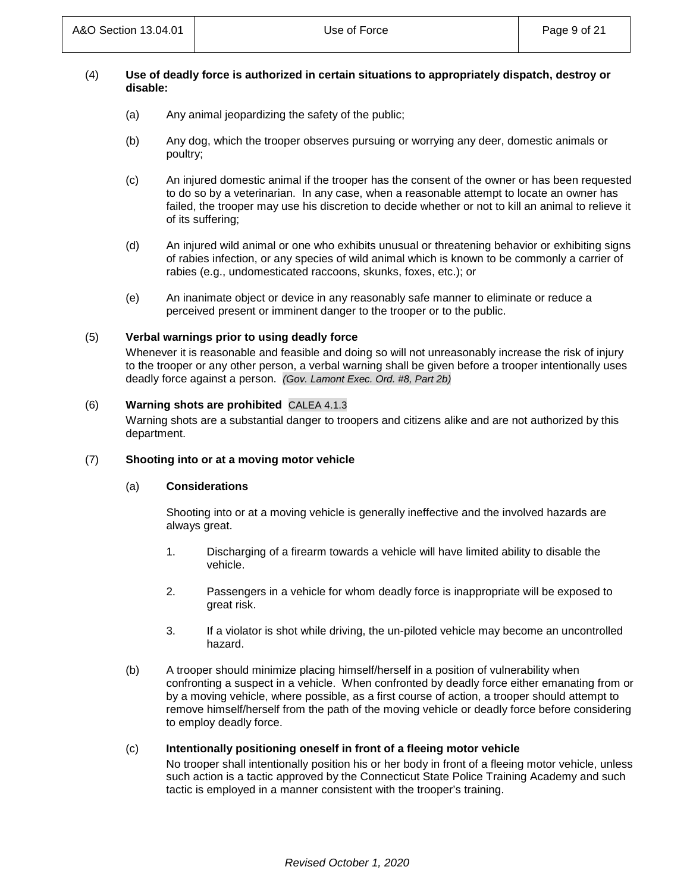#### (4) **Use of deadly force is authorized in certain situations to appropriately dispatch, destroy or disable:**

- (a) Any animal jeopardizing the safety of the public;
- (b) Any dog, which the trooper observes pursuing or worrying any deer, domestic animals or poultry;
- (c) An injured domestic animal if the trooper has the consent of the owner or has been requested to do so by a veterinarian. In any case, when a reasonable attempt to locate an owner has failed, the trooper may use his discretion to decide whether or not to kill an animal to relieve it of its suffering;
- (d) An injured wild animal or one who exhibits unusual or threatening behavior or exhibiting signs of rabies infection, or any species of wild animal which is known to be commonly a carrier of rabies (e.g., undomesticated raccoons, skunks, foxes, etc.); or
- (e) An inanimate object or device in any reasonably safe manner to eliminate or reduce a perceived present or imminent danger to the trooper or to the public.

## (5) **Verbal warnings prior to using deadly force**

Whenever it is reasonable and feasible and doing so will not unreasonably increase the risk of injury to the trooper or any other person, a verbal warning shall be given before a trooper intentionally uses deadly force against a person. *(Gov. Lamont Exec. Ord. #8, Part 2b)*

### (6) **Warning shots are prohibited** CALEA 4.1.3

Warning shots are a substantial danger to troopers and citizens alike and are not authorized by this department.

### (7) **Shooting into or at a moving motor vehicle**

### (a) **Considerations**

Shooting into or at a moving vehicle is generally ineffective and the involved hazards are always great.

- 1. Discharging of a firearm towards a vehicle will have limited ability to disable the vehicle.
- 2. Passengers in a vehicle for whom deadly force is inappropriate will be exposed to great risk.
- 3. If a violator is shot while driving, the un-piloted vehicle may become an uncontrolled hazard.
- (b) A trooper should minimize placing himself/herself in a position of vulnerability when confronting a suspect in a vehicle. When confronted by deadly force either emanating from or by a moving vehicle, where possible, as a first course of action, a trooper should attempt to remove himself/herself from the path of the moving vehicle or deadly force before considering to employ deadly force.

### (c) **Intentionally positioning oneself in front of a fleeing motor vehicle**

No trooper shall intentionally position his or her body in front of a fleeing motor vehicle, unless such action is a tactic approved by the Connecticut State Police Training Academy and such tactic is employed in a manner consistent with the trooper's training.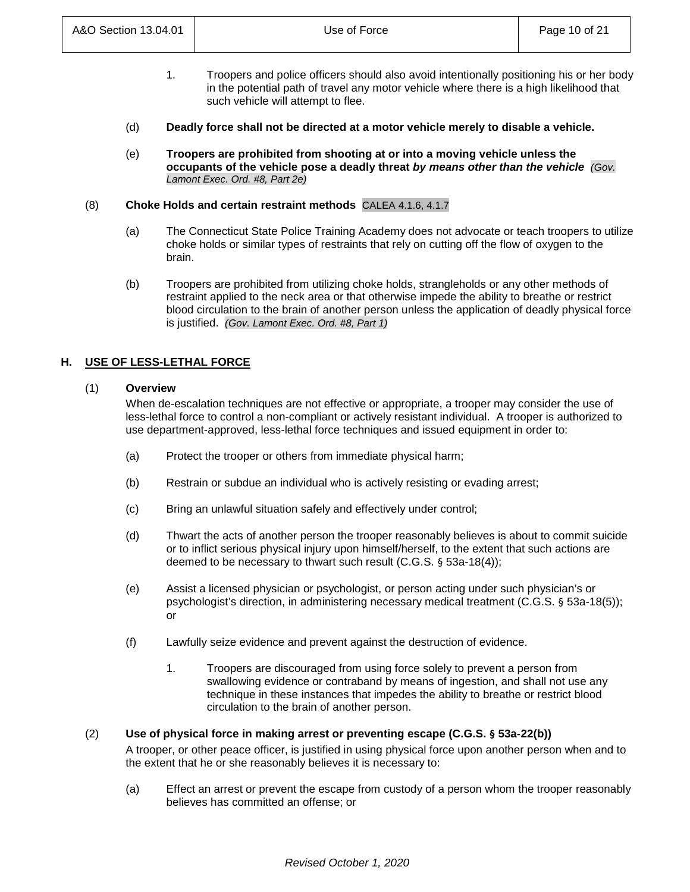- 1. Troopers and police officers should also avoid intentionally positioning his or her body in the potential path of travel any motor vehicle where there is a high likelihood that such vehicle will attempt to flee.
- (d) **Deadly force shall not be directed at a motor vehicle merely to disable a vehicle.**
- (e) **Troopers are prohibited from shooting at or into a moving vehicle unless the occupants of the vehicle pose a deadly threat** *by means other than the vehicle (Gov. Lamont Exec. Ord. #8, Part 2e)*

## (8) **Choke Holds and certain restraint methods** CALEA 4.1.6, 4.1.7

- (a) The Connecticut State Police Training Academy does not advocate or teach troopers to utilize choke holds or similar types of restraints that rely on cutting off the flow of oxygen to the brain.
- (b) Troopers are prohibited from utilizing choke holds, strangleholds or any other methods of restraint applied to the neck area or that otherwise impede the ability to breathe or restrict blood circulation to the brain of another person unless the application of deadly physical force is justified. *(Gov. Lamont Exec. Ord. #8, Part 1)*

# **H. USE OF LESS-LETHAL FORCE**

## (1) **Overview**

When de-escalation techniques are not effective or appropriate, a trooper may consider the use of less-lethal force to control a non-compliant or actively resistant individual. A trooper is authorized to use department-approved, less-lethal force techniques and issued equipment in order to:

- (a) Protect the trooper or others from immediate physical harm;
- (b) Restrain or subdue an individual who is actively resisting or evading arrest;
- (c) Bring an unlawful situation safely and effectively under control;
- (d) Thwart the acts of another person the trooper reasonably believes is about to commit suicide or to inflict serious physical injury upon himself/herself, to the extent that such actions are deemed to be necessary to thwart such result (C.G.S. § 53a-18(4));
- (e) Assist a licensed physician or psychologist, or person acting under such physician's or psychologist's direction, in administering necessary medical treatment (C.G.S. § 53a-18(5)); or
- (f) Lawfully seize evidence and prevent against the destruction of evidence.
	- 1. Troopers are discouraged from using force solely to prevent a person from swallowing evidence or contraband by means of ingestion, and shall not use any technique in these instances that impedes the ability to breathe or restrict blood circulation to the brain of another person.

### (2) **Use of physical force in making arrest or preventing escape (C.G.S. § 53a-22(b))**

A trooper, or other peace officer, is justified in using physical force upon another person when and to the extent that he or she reasonably believes it is necessary to:

(a) Effect an arrest or prevent the escape from custody of a person whom the trooper reasonably believes has committed an offense; or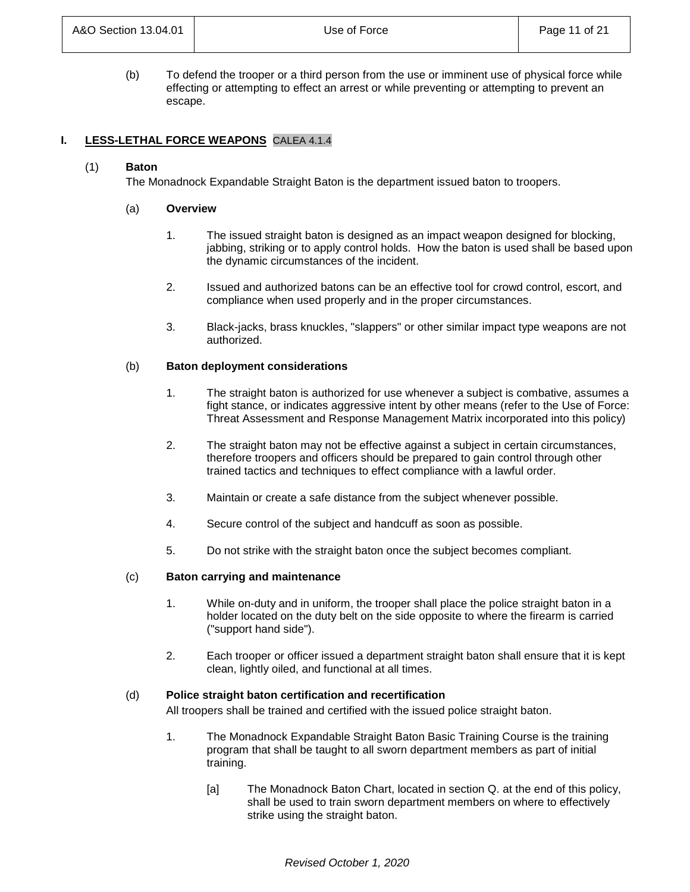(b) To defend the trooper or a third person from the use or imminent use of physical force while effecting or attempting to effect an arrest or while preventing or attempting to prevent an escape.

## **I. LESS-LETHAL FORCE WEAPONS** CALEA 4.1.4

## (1) **Baton**

The Monadnock Expandable Straight Baton is the department issued baton to troopers.

### (a) **Overview**

- 1. The issued straight baton is designed as an impact weapon designed for blocking, jabbing, striking or to apply control holds. How the baton is used shall be based upon the dynamic circumstances of the incident.
- 2. Issued and authorized batons can be an effective tool for crowd control, escort, and compliance when used properly and in the proper circumstances.
- 3. Black-jacks, brass knuckles, "slappers" or other similar impact type weapons are not authorized.

## (b) **Baton deployment considerations**

- 1. The straight baton is authorized for use whenever a subject is combative, assumes a fight stance, or indicates aggressive intent by other means (refer to the Use of Force: Threat Assessment and Response Management Matrix incorporated into this policy)
- 2. The straight baton may not be effective against a subject in certain circumstances, therefore troopers and officers should be prepared to gain control through other trained tactics and techniques to effect compliance with a lawful order.
- 3. Maintain or create a safe distance from the subject whenever possible.
- 4. Secure control of the subject and handcuff as soon as possible.
- 5. Do not strike with the straight baton once the subject becomes compliant.

### (c) **Baton carrying and maintenance**

- 1. While on-duty and in uniform, the trooper shall place the police straight baton in a holder located on the duty belt on the side opposite to where the firearm is carried ("support hand side").
- 2. Each trooper or officer issued a department straight baton shall ensure that it is kept clean, lightly oiled, and functional at all times.

### (d) **Police straight baton certification and recertification**

All troopers shall be trained and certified with the issued police straight baton.

- 1. The Monadnock Expandable Straight Baton Basic Training Course is the training program that shall be taught to all sworn department members as part of initial training.
	- [a] The Monadnock Baton Chart, located in section Q. at the end of this policy, shall be used to train sworn department members on where to effectively strike using the straight baton.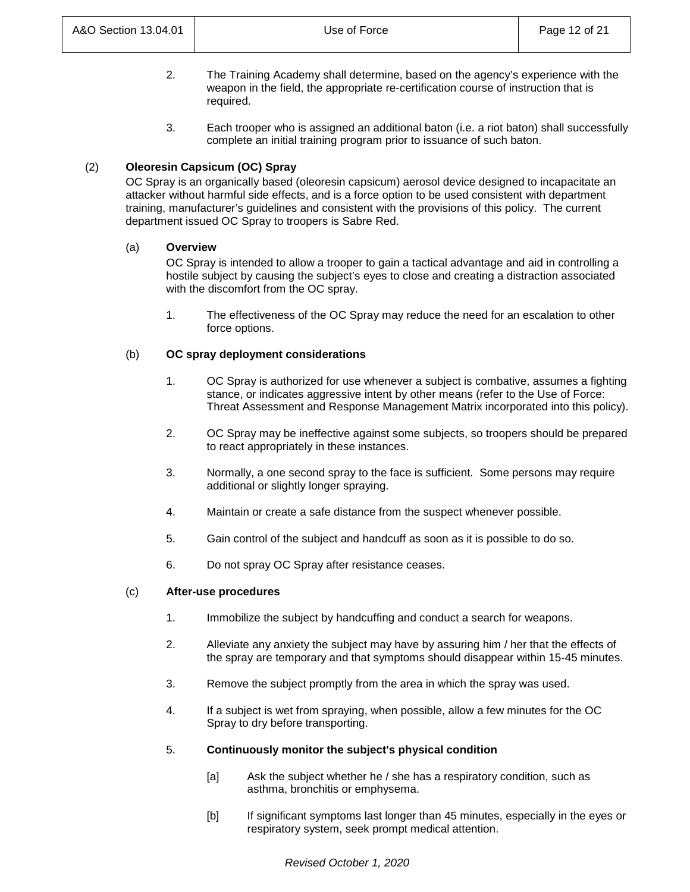- 2. The Training Academy shall determine, based on the agency's experience with the weapon in the field, the appropriate re-certification course of instruction that is required.
- 3. Each trooper who is assigned an additional baton (i.e. a riot baton) shall successfully complete an initial training program prior to issuance of such baton.

## (2) **Oleoresin Capsicum (OC) Spray**

OC Spray is an organically based (oleoresin capsicum) aerosol device designed to incapacitate an attacker without harmful side effects, and is a force option to be used consistent with department training, manufacturer's guidelines and consistent with the provisions of this policy. The current department issued OC Spray to troopers is Sabre Red.

## (a) **Overview**

OC Spray is intended to allow a trooper to gain a tactical advantage and aid in controlling a hostile subject by causing the subject's eyes to close and creating a distraction associated with the discomfort from the OC spray.

1. The effectiveness of the OC Spray may reduce the need for an escalation to other force options.

## (b) **OC spray deployment considerations**

- 1. OC Spray is authorized for use whenever a subject is combative, assumes a fighting stance, or indicates aggressive intent by other means (refer to the Use of Force: Threat Assessment and Response Management Matrix incorporated into this policy).
- 2. OC Spray may be ineffective against some subjects, so troopers should be prepared to react appropriately in these instances.
- 3. Normally, a one second spray to the face is sufficient. Some persons may require additional or slightly longer spraying.
- 4. Maintain or create a safe distance from the suspect whenever possible.
- 5. Gain control of the subject and handcuff as soon as it is possible to do so.
- 6. Do not spray OC Spray after resistance ceases.

### (c) **After-use procedures**

- 1. Immobilize the subject by handcuffing and conduct a search for weapons.
- 2. Alleviate any anxiety the subject may have by assuring him / her that the effects of the spray are temporary and that symptoms should disappear within 15-45 minutes.
- 3. Remove the subject promptly from the area in which the spray was used.
- 4. If a subject is wet from spraying, when possible, allow a few minutes for the OC Spray to dry before transporting.

### 5. **Continuously monitor the subject's physical condition**

- [a] Ask the subject whether he / she has a respiratory condition, such as asthma, bronchitis or emphysema.
- [b] If significant symptoms last longer than 45 minutes, especially in the eyes or respiratory system, seek prompt medical attention.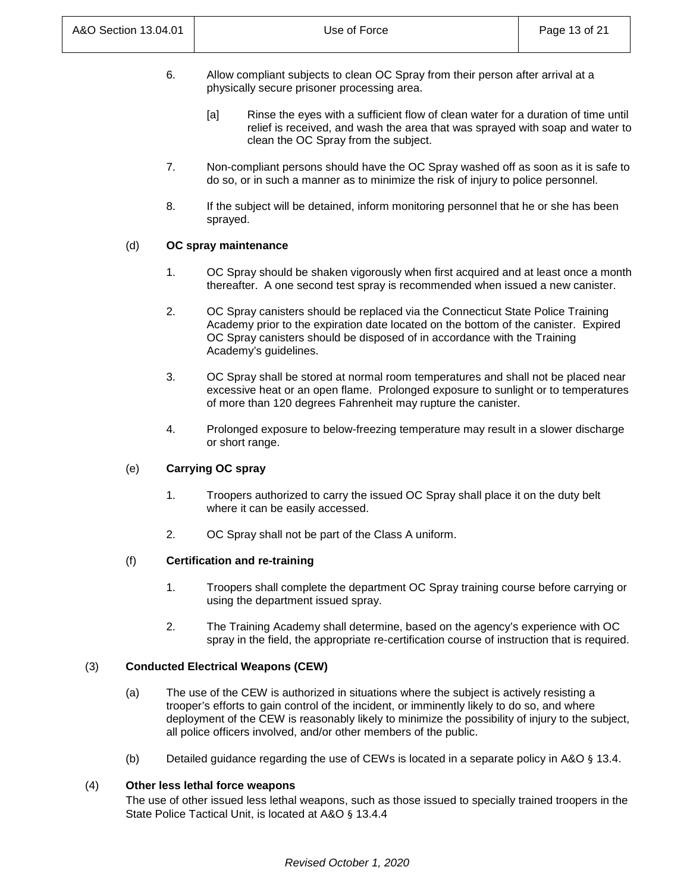- 6. Allow compliant subjects to clean OC Spray from their person after arrival at a physically secure prisoner processing area.
	- [a] Rinse the eyes with a sufficient flow of clean water for a duration of time until relief is received, and wash the area that was sprayed with soap and water to clean the OC Spray from the subject.
- 7. Non-compliant persons should have the OC Spray washed off as soon as it is safe to do so, or in such a manner as to minimize the risk of injury to police personnel.
- 8. If the subject will be detained, inform monitoring personnel that he or she has been sprayed.

## (d) **OC spray maintenance**

- 1. OC Spray should be shaken vigorously when first acquired and at least once a month thereafter. A one second test spray is recommended when issued a new canister.
- 2. OC Spray canisters should be replaced via the Connecticut State Police Training Academy prior to the expiration date located on the bottom of the canister. Expired OC Spray canisters should be disposed of in accordance with the Training Academy's guidelines.
- 3. OC Spray shall be stored at normal room temperatures and shall not be placed near excessive heat or an open flame. Prolonged exposure to sunlight or to temperatures of more than 120 degrees Fahrenheit may rupture the canister.
- 4. Prolonged exposure to below-freezing temperature may result in a slower discharge or short range.

### (e) **Carrying OC spray**

- 1. Troopers authorized to carry the issued OC Spray shall place it on the duty belt where it can be easily accessed.
- 2. OC Spray shall not be part of the Class A uniform.

### (f) **Certification and re-training**

- 1. Troopers shall complete the department OC Spray training course before carrying or using the department issued spray.
- 2. The Training Academy shall determine, based on the agency's experience with OC spray in the field, the appropriate re-certification course of instruction that is required.

### (3) **Conducted Electrical Weapons (CEW)**

- (a) The use of the CEW is authorized in situations where the subject is actively resisting a trooper's efforts to gain control of the incident, or imminently likely to do so, and where deployment of the CEW is reasonably likely to minimize the possibility of injury to the subject, all police officers involved, and/or other members of the public.
- (b) Detailed guidance regarding the use of CEWs is located in a separate policy in A&O § 13.4.

### (4) **Other less lethal force weapons**

The use of other issued less lethal weapons, such as those issued to specially trained troopers in the State Police Tactical Unit, is located at A&O § 13.4.4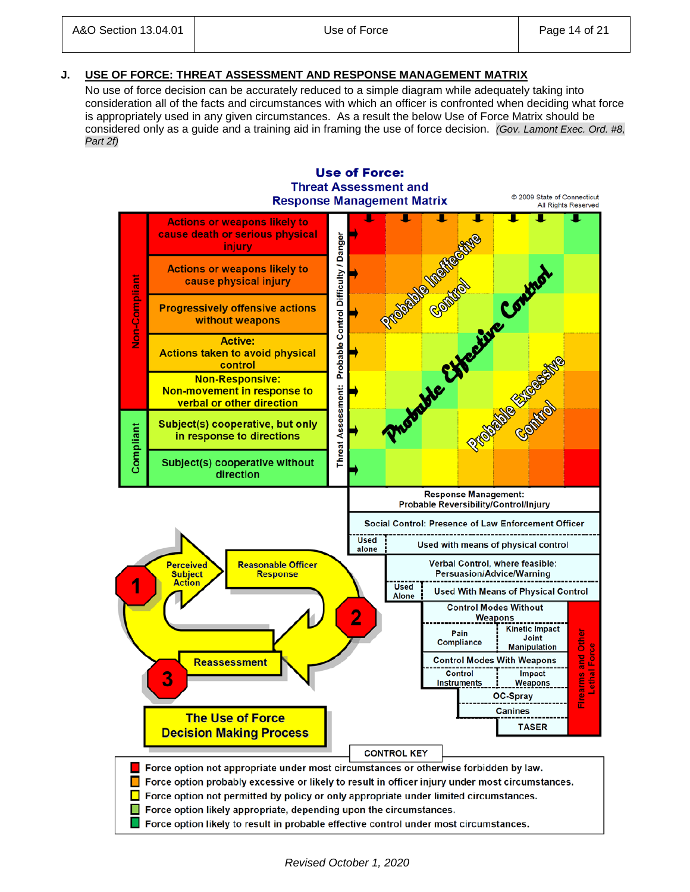# **J. USE OF FORCE: THREAT ASSESSMENT AND RESPONSE MANAGEMENT MATRIX**

No use of force decision can be accurately reduced to a simple diagram while adequately taking into consideration all of the facts and circumstances with which an officer is confronted when deciding what force is appropriately used in any given circumstances. As a result the below Use of Force Matrix should be considered only as a guide and a training aid in framing the use of force decision. *(Gov. Lamont Exec. Ord. #8, Part 2f)*

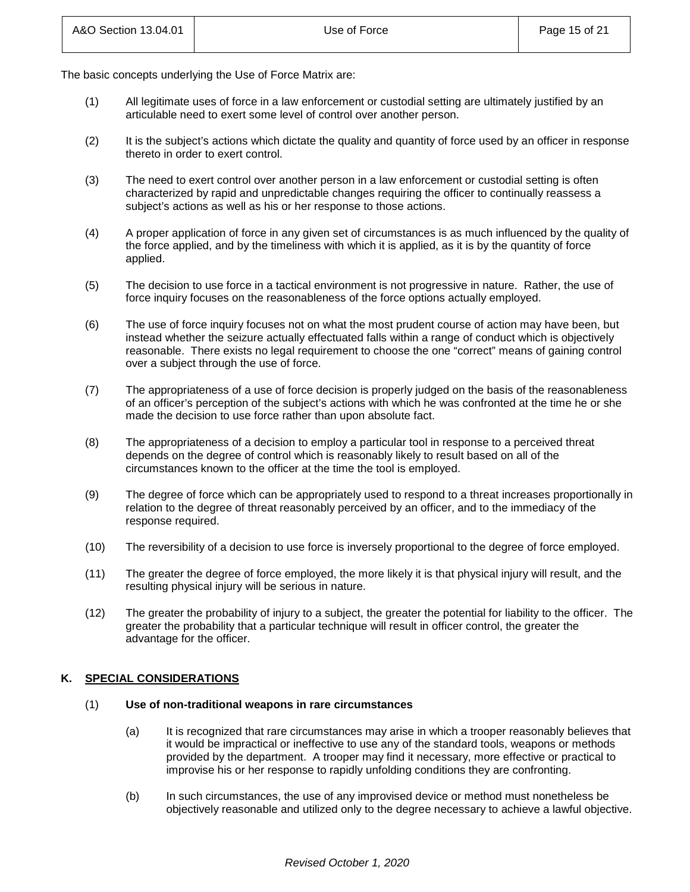The basic concepts underlying the Use of Force Matrix are:

- (1) All legitimate uses of force in a law enforcement or custodial setting are ultimately justified by an articulable need to exert some level of control over another person.
- (2) It is the subject's actions which dictate the quality and quantity of force used by an officer in response thereto in order to exert control.
- (3) The need to exert control over another person in a law enforcement or custodial setting is often characterized by rapid and unpredictable changes requiring the officer to continually reassess a subject's actions as well as his or her response to those actions.
- (4) A proper application of force in any given set of circumstances is as much influenced by the quality of the force applied, and by the timeliness with which it is applied, as it is by the quantity of force applied.
- (5) The decision to use force in a tactical environment is not progressive in nature. Rather, the use of force inquiry focuses on the reasonableness of the force options actually employed.
- (6) The use of force inquiry focuses not on what the most prudent course of action may have been, but instead whether the seizure actually effectuated falls within a range of conduct which is objectively reasonable. There exists no legal requirement to choose the one "correct" means of gaining control over a subject through the use of force.
- (7) The appropriateness of a use of force decision is properly judged on the basis of the reasonableness of an officer's perception of the subject's actions with which he was confronted at the time he or she made the decision to use force rather than upon absolute fact.
- (8) The appropriateness of a decision to employ a particular tool in response to a perceived threat depends on the degree of control which is reasonably likely to result based on all of the circumstances known to the officer at the time the tool is employed.
- (9) The degree of force which can be appropriately used to respond to a threat increases proportionally in relation to the degree of threat reasonably perceived by an officer, and to the immediacy of the response required.
- (10) The reversibility of a decision to use force is inversely proportional to the degree of force employed.
- (11) The greater the degree of force employed, the more likely it is that physical injury will result, and the resulting physical injury will be serious in nature.
- (12) The greater the probability of injury to a subject, the greater the potential for liability to the officer. The greater the probability that a particular technique will result in officer control, the greater the advantage for the officer.

## **K. SPECIAL CONSIDERATIONS**

### (1) **Use of non-traditional weapons in rare circumstances**

- (a) It is recognized that rare circumstances may arise in which a trooper reasonably believes that it would be impractical or ineffective to use any of the standard tools, weapons or methods provided by the department. A trooper may find it necessary, more effective or practical to improvise his or her response to rapidly unfolding conditions they are confronting.
- (b) In such circumstances, the use of any improvised device or method must nonetheless be objectively reasonable and utilized only to the degree necessary to achieve a lawful objective.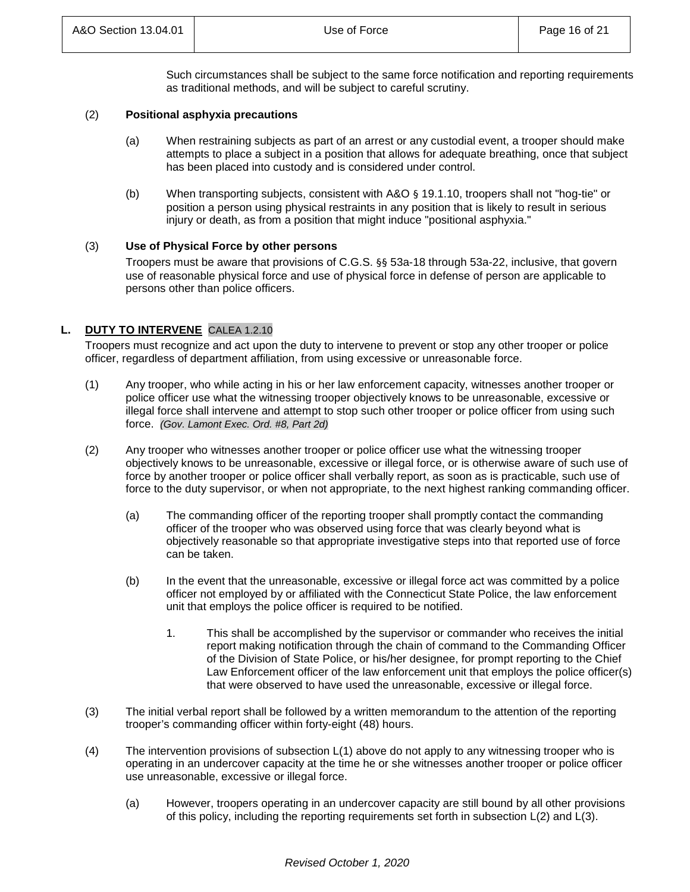Such circumstances shall be subject to the same force notification and reporting requirements as traditional methods, and will be subject to careful scrutiny.

### (2) **Positional asphyxia precautions**

- (a) When restraining subjects as part of an arrest or any custodial event, a trooper should make attempts to place a subject in a position that allows for adequate breathing, once that subject has been placed into custody and is considered under control.
- (b) When transporting subjects, consistent with A&O § 19.1.10, troopers shall not "hog-tie" or position a person using physical restraints in any position that is likely to result in serious injury or death, as from a position that might induce "positional asphyxia."

## (3) **Use of Physical Force by other persons**

Troopers must be aware that provisions of C.G.S. §§ 53a-18 through 53a-22, inclusive, that govern use of reasonable physical force and use of physical force in defense of person are applicable to persons other than police officers.

## **L. DUTY TO INTERVENE** CALEA 1.2.10

Troopers must recognize and act upon the duty to intervene to prevent or stop any other trooper or police officer, regardless of department affiliation, from using excessive or unreasonable force.

- (1) Any trooper, who while acting in his or her law enforcement capacity, witnesses another trooper or police officer use what the witnessing trooper objectively knows to be unreasonable, excessive or illegal force shall intervene and attempt to stop such other trooper or police officer from using such force. *(Gov. Lamont Exec. Ord. #8, Part 2d)*
- (2) Any trooper who witnesses another trooper or police officer use what the witnessing trooper objectively knows to be unreasonable, excessive or illegal force, or is otherwise aware of such use of force by another trooper or police officer shall verbally report, as soon as is practicable, such use of force to the duty supervisor, or when not appropriate, to the next highest ranking commanding officer.
	- (a) The commanding officer of the reporting trooper shall promptly contact the commanding officer of the trooper who was observed using force that was clearly beyond what is objectively reasonable so that appropriate investigative steps into that reported use of force can be taken.
	- (b) In the event that the unreasonable, excessive or illegal force act was committed by a police officer not employed by or affiliated with the Connecticut State Police, the law enforcement unit that employs the police officer is required to be notified.
		- 1. This shall be accomplished by the supervisor or commander who receives the initial report making notification through the chain of command to the Commanding Officer of the Division of State Police, or his/her designee, for prompt reporting to the Chief Law Enforcement officer of the law enforcement unit that employs the police officer(s) that were observed to have used the unreasonable, excessive or illegal force.
- (3) The initial verbal report shall be followed by a written memorandum to the attention of the reporting trooper's commanding officer within forty-eight (48) hours.
- (4) The intervention provisions of subsection L(1) above do not apply to any witnessing trooper who is operating in an undercover capacity at the time he or she witnesses another trooper or police officer use unreasonable, excessive or illegal force.
	- (a) However, troopers operating in an undercover capacity are still bound by all other provisions of this policy, including the reporting requirements set forth in subsection L(2) and L(3).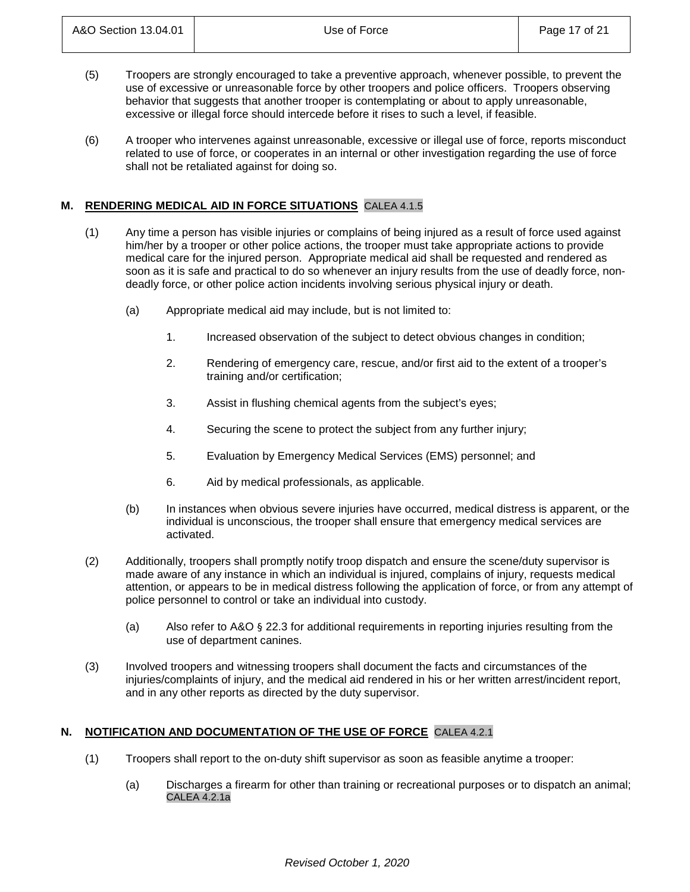- (5) Troopers are strongly encouraged to take a preventive approach, whenever possible, to prevent the use of excessive or unreasonable force by other troopers and police officers. Troopers observing behavior that suggests that another trooper is contemplating or about to apply unreasonable, excessive or illegal force should intercede before it rises to such a level, if feasible.
- (6) A trooper who intervenes against unreasonable, excessive or illegal use of force, reports misconduct related to use of force, or cooperates in an internal or other investigation regarding the use of force shall not be retaliated against for doing so.

## **M. RENDERING MEDICAL AID IN FORCE SITUATIONS** CALEA 4.1.5

- (1) Any time a person has visible injuries or complains of being injured as a result of force used against him/her by a trooper or other police actions, the trooper must take appropriate actions to provide medical care for the injured person. Appropriate medical aid shall be requested and rendered as soon as it is safe and practical to do so whenever an injury results from the use of deadly force, nondeadly force, or other police action incidents involving serious physical injury or death.
	- (a) Appropriate medical aid may include, but is not limited to:
		- 1. Increased observation of the subject to detect obvious changes in condition;
		- 2. Rendering of emergency care, rescue, and/or first aid to the extent of a trooper's training and/or certification;
		- 3. Assist in flushing chemical agents from the subject's eyes;
		- 4. Securing the scene to protect the subject from any further injury;
		- 5. Evaluation by Emergency Medical Services (EMS) personnel; and
		- 6. Aid by medical professionals, as applicable.
	- (b) In instances when obvious severe injuries have occurred, medical distress is apparent, or the individual is unconscious, the trooper shall ensure that emergency medical services are activated.
- (2) Additionally, troopers shall promptly notify troop dispatch and ensure the scene/duty supervisor is made aware of any instance in which an individual is injured, complains of injury, requests medical attention, or appears to be in medical distress following the application of force, or from any attempt of police personnel to control or take an individual into custody.
	- (a) Also refer to A&O § 22.3 for additional requirements in reporting injuries resulting from the use of department canines.
- (3) Involved troopers and witnessing troopers shall document the facts and circumstances of the injuries/complaints of injury, and the medical aid rendered in his or her written arrest/incident report, and in any other reports as directed by the duty supervisor.

## **N. NOTIFICATION AND DOCUMENTATION OF THE USE OF FORCE** CALEA 4.2.1

- (1) Troopers shall report to the on-duty shift supervisor as soon as feasible anytime a trooper:
	- (a) Discharges a firearm for other than training or recreational purposes or to dispatch an animal; CALEA 4.2.1a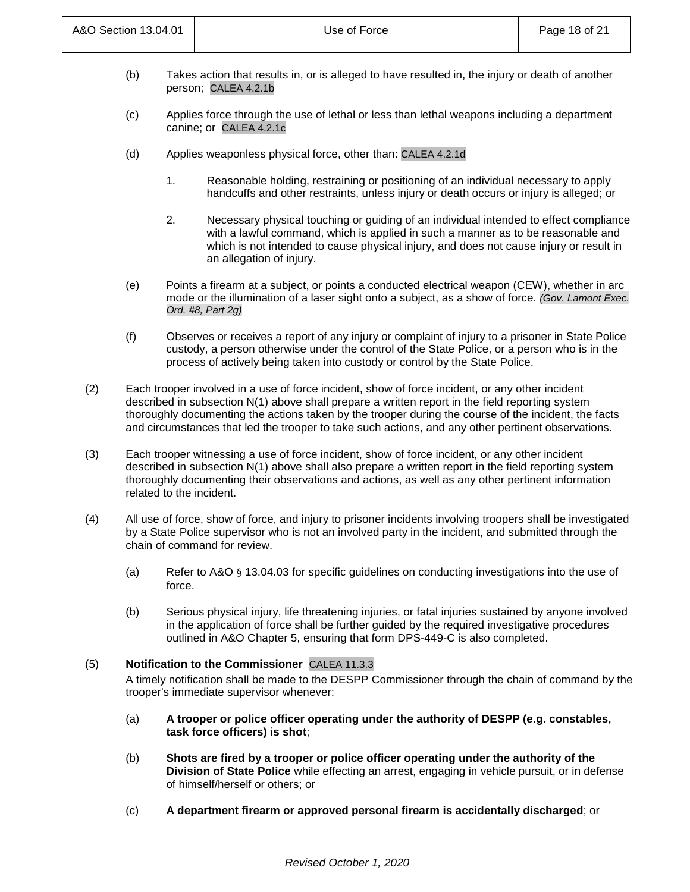- (b) Takes action that results in, or is alleged to have resulted in, the injury or death of another person; CALEA 4.2.1b
- (c) Applies force through the use of lethal or less than lethal weapons including a department canine; or CALEA 4.2.1c
- (d) Applies weaponless physical force, other than: CALEA 4.2.1d
	- 1. Reasonable holding, restraining or positioning of an individual necessary to apply handcuffs and other restraints, unless injury or death occurs or injury is alleged; or
	- 2. Necessary physical touching or guiding of an individual intended to effect compliance with a lawful command, which is applied in such a manner as to be reasonable and which is not intended to cause physical injury, and does not cause injury or result in an allegation of injury.
- (e) Points a firearm at a subject, or points a conducted electrical weapon (CEW), whether in arc mode or the illumination of a laser sight onto a subject, as a show of force. *(Gov. Lamont Exec. Ord. #8, Part 2g)*
- (f) Observes or receives a report of any injury or complaint of injury to a prisoner in State Police custody, a person otherwise under the control of the State Police, or a person who is in the process of actively being taken into custody or control by the State Police.
- (2) Each trooper involved in a use of force incident, show of force incident, or any other incident described in subsection N(1) above shall prepare a written report in the field reporting system thoroughly documenting the actions taken by the trooper during the course of the incident, the facts and circumstances that led the trooper to take such actions, and any other pertinent observations.
- (3) Each trooper witnessing a use of force incident, show of force incident, or any other incident described in subsection N(1) above shall also prepare a written report in the field reporting system thoroughly documenting their observations and actions, as well as any other pertinent information related to the incident.
- (4) All use of force, show of force, and injury to prisoner incidents involving troopers shall be investigated by a State Police supervisor who is not an involved party in the incident, and submitted through the chain of command for review.
	- (a) Refer to A&O § 13.04.03 for specific guidelines on conducting investigations into the use of force.
	- (b) Serious physical injury, life threatening injuries, or fatal injuries sustained by anyone involved in the application of force shall be further guided by the required investigative procedures outlined in A&O Chapter 5, ensuring that form DPS-449-C is also completed.

## (5) **Notification to the Commissioner** CALEA 11.3.3

A timely notification shall be made to the DESPP Commissioner through the chain of command by the trooper's immediate supervisor whenever:

- (a) **A trooper or police officer operating under the authority of DESPP (e.g. constables, task force officers) is shot**;
- (b) **Shots are fired by a trooper or police officer operating under the authority of the Division of State Police** while effecting an arrest, engaging in vehicle pursuit, or in defense of himself/herself or others; or
- (c) **A department firearm or approved personal firearm is accidentally discharged**; or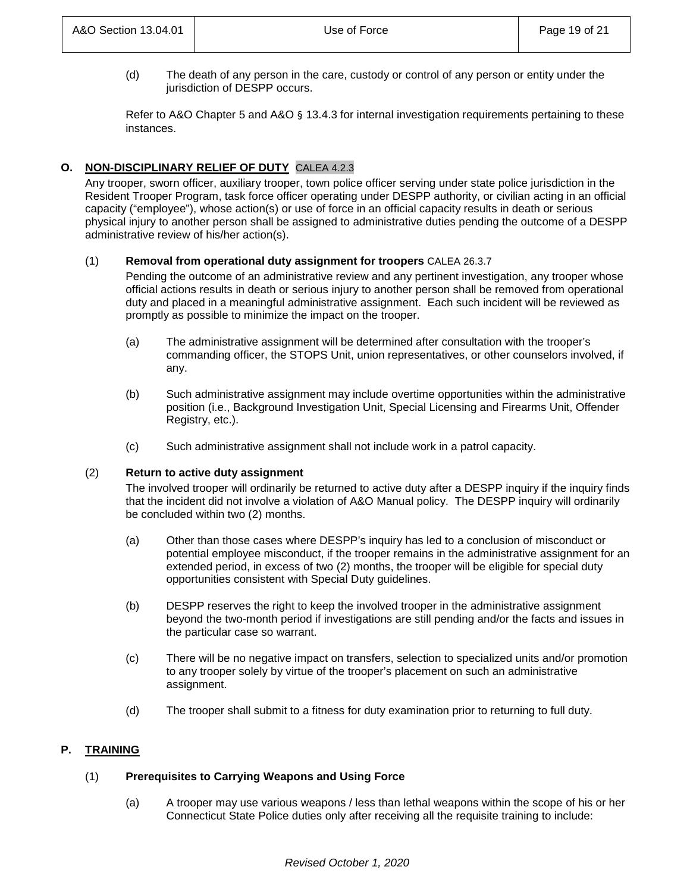(d) The death of any person in the care, custody or control of any person or entity under the jurisdiction of DESPP occurs.

Refer to A&O Chapter 5 and A&O § 13.4.3 for internal investigation requirements pertaining to these instances.

# **O. NON-DISCIPLINARY RELIEF OF DUTY** CALEA 4.2.3

Any trooper, sworn officer, auxiliary trooper, town police officer serving under state police jurisdiction in the Resident Trooper Program, task force officer operating under DESPP authority, or civilian acting in an official capacity ("employee"), whose action(s) or use of force in an official capacity results in death or serious physical injury to another person shall be assigned to administrative duties pending the outcome of a DESPP administrative review of his/her action(s).

## (1) **Removal from operational duty assignment for troopers** CALEA 26.3.7

Pending the outcome of an administrative review and any pertinent investigation, any trooper whose official actions results in death or serious injury to another person shall be removed from operational duty and placed in a meaningful administrative assignment. Each such incident will be reviewed as promptly as possible to minimize the impact on the trooper.

- (a) The administrative assignment will be determined after consultation with the trooper's commanding officer, the STOPS Unit, union representatives, or other counselors involved, if any.
- (b) Such administrative assignment may include overtime opportunities within the administrative position (i.e., Background Investigation Unit, Special Licensing and Firearms Unit, Offender Registry, etc.).
- (c) Such administrative assignment shall not include work in a patrol capacity.

## (2) **Return to active duty assignment**

The involved trooper will ordinarily be returned to active duty after a DESPP inquiry if the inquiry finds that the incident did not involve a violation of A&O Manual policy. The DESPP inquiry will ordinarily be concluded within two (2) months.

- (a) Other than those cases where DESPP's inquiry has led to a conclusion of misconduct or potential employee misconduct, if the trooper remains in the administrative assignment for an extended period, in excess of two (2) months, the trooper will be eligible for special duty opportunities consistent with Special Duty guidelines.
- (b) DESPP reserves the right to keep the involved trooper in the administrative assignment beyond the two-month period if investigations are still pending and/or the facts and issues in the particular case so warrant.
- (c) There will be no negative impact on transfers, selection to specialized units and/or promotion to any trooper solely by virtue of the trooper's placement on such an administrative assignment.
- (d) The trooper shall submit to a fitness for duty examination prior to returning to full duty.

## **P. TRAINING**

## (1) **Prerequisites to Carrying Weapons and Using Force**

(a) A trooper may use various weapons / less than lethal weapons within the scope of his or her Connecticut State Police duties only after receiving all the requisite training to include: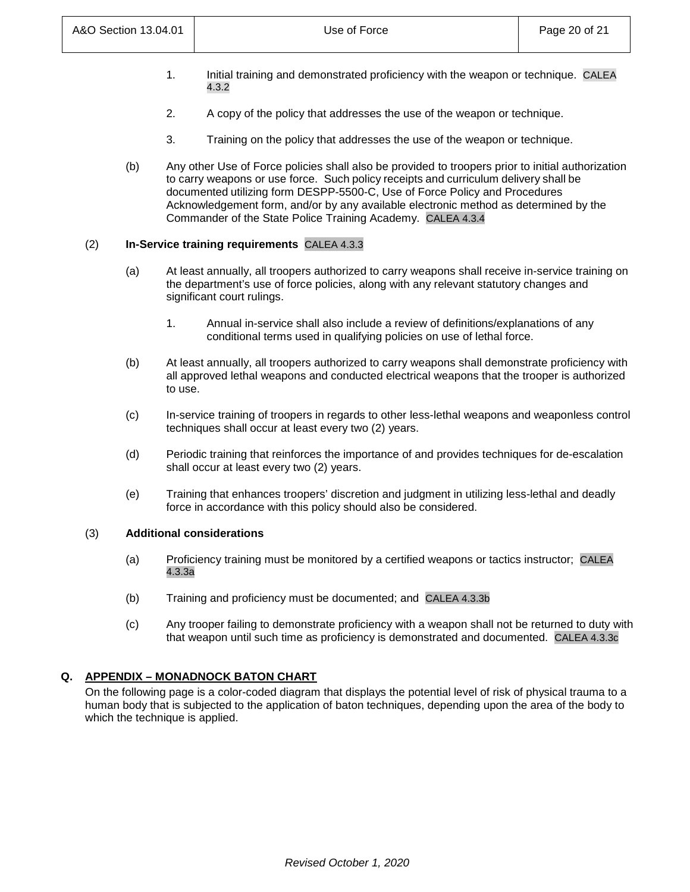- 1. Initial training and demonstrated proficiency with the weapon or technique. CALEA 4.3.2
- 2. A copy of the policy that addresses the use of the weapon or technique.
- 3. Training on the policy that addresses the use of the weapon or technique.
- (b) Any other Use of Force policies shall also be provided to troopers prior to initial authorization to carry weapons or use force. Such policy receipts and curriculum delivery shall be documented utilizing form DESPP-5500-C, Use of Force Policy and Procedures Acknowledgement form, and/or by any available electronic method as determined by the Commander of the State Police Training Academy. CALEA 4.3.4

## (2) **In-Service training requirements** CALEA 4.3.3

- (a) At least annually, all troopers authorized to carry weapons shall receive in-service training on the department's use of force policies, along with any relevant statutory changes and significant court rulings.
	- 1. Annual in-service shall also include a review of definitions/explanations of any conditional terms used in qualifying policies on use of lethal force.
- (b) At least annually, all troopers authorized to carry weapons shall demonstrate proficiency with all approved lethal weapons and conducted electrical weapons that the trooper is authorized to use.
- (c) In-service training of troopers in regards to other less-lethal weapons and weaponless control techniques shall occur at least every two (2) years.
- (d) Periodic training that reinforces the importance of and provides techniques for de-escalation shall occur at least every two (2) years.
- (e) Training that enhances troopers' discretion and judgment in utilizing less-lethal and deadly force in accordance with this policy should also be considered.

### (3) **Additional considerations**

- (a) Proficiency training must be monitored by a certified weapons or tactics instructor; CALEA 4.3.3a
- (b) Training and proficiency must be documented; and CALEA 4.3.3b
- (c) Any trooper failing to demonstrate proficiency with a weapon shall not be returned to duty with that weapon until such time as proficiency is demonstrated and documented. CALEA 4.3.3c

## **Q. APPENDIX – MONADNOCK BATON CHART**

On the following page is a color-coded diagram that displays the potential level of risk of physical trauma to a human body that is subjected to the application of baton techniques, depending upon the area of the body to which the technique is applied.